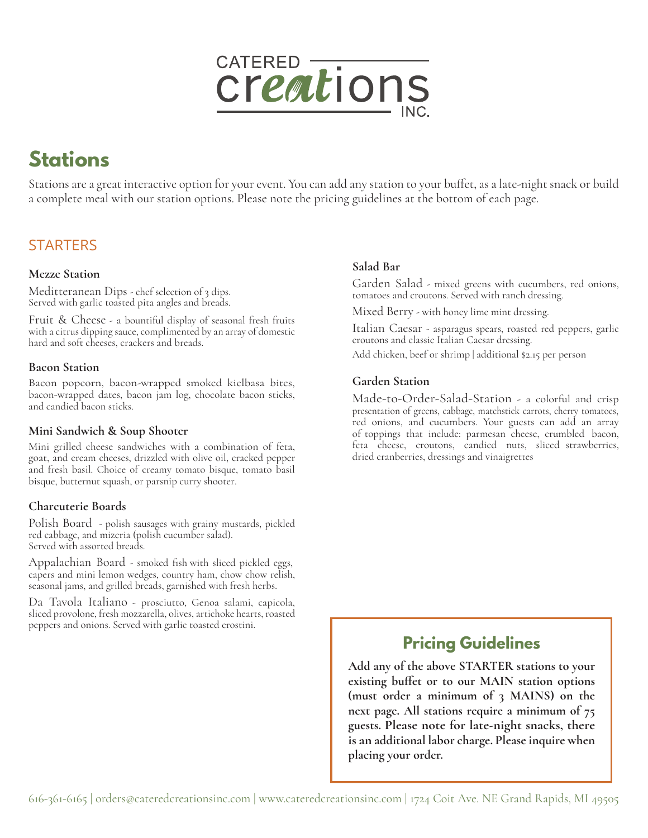

# **Stations**

Stations are a great interactive option for your event. You can add any station to your buffet, as a late-night snack or build a complete meal with our station options. Please note the pricing guidelines at the bottom of each page.

# **STARTERS**

# **Mezze Station**

Meditteranean Dips - chef selection of 3 dips. Served with garlic toasted pita angles and breads.

Fruit & Cheese - a bountiful display of seasonal fresh fruits with a citrus dipping sauce, complimented by an array of domestic hard and soft cheeses, crackers and breads.

### **Bacon Station**

Bacon popcorn, bacon-wrapped smoked kielbasa bites, bacon-wrapped dates, bacon jam log, chocolate bacon sticks, and candied bacon sticks.

# **Mini Sandwich & Soup Shooter**

Mini grilled cheese sandwiches with a combination of feta, goat, and cream cheeses, drizzled with olive oil, cracked pepper and fresh basil. Choice of creamy tomato bisque, tomato basil bisque, butternut squash, or parsnip curry shooter.

# **Charcuterie Boards**

Polish Board - polish sausages with grainy mustards, pickled red cabbage, and mizeria (polish cucumber salad). Served with assorted breads.

Appalachian Board - smoked fish with sliced pickled eggs, capers and mini lemon wedges, country ham, chow chow relish, seasonal jams, and grilled breads, garnished with fresh herbs.

Da Tavola Italiano - prosciutto, Genoa salami, capicola, sliced provolone, fresh mozzarella, olives, artichoke hearts, roasted peppers and onions. Served with garlic toasted crostini.

# **Salad Bar**

Garden Salad - mixed greens with cucumbers, red onions, tomatoes and croutons. Served with ranch dressing.

Mixed Berry - with honey lime mint dressing.

Italian Caesar - asparagus spears, roasted red peppers, garlic croutons and classic Italian Caesar dressing.

Add chicken, beef or shrimp | additional \$2.15 per person

# **Garden Station**

Made-to-Order-Salad-Station - a colorful and crisp presentation of greens, cabbage, matchstick carrots, cherry tomatoes, red onions, and cucumbers. Your guests can add an array of toppings that include: parmesan cheese, crumbled bacon, feta cheese, croutons, candied nuts, sliced strawberries, dried cranberries, dressings and vinaigrettes

# **Pricing Guidelines**

**Add any of the above STARTER stations to your existing buffet or to our MAIN station options (must order a minimum of 3 MAINS) on the next page. All stations require a minimum of 75 guests. Please note for late-night snacks, there is an additional labor charge. Please inquire when placing your order.**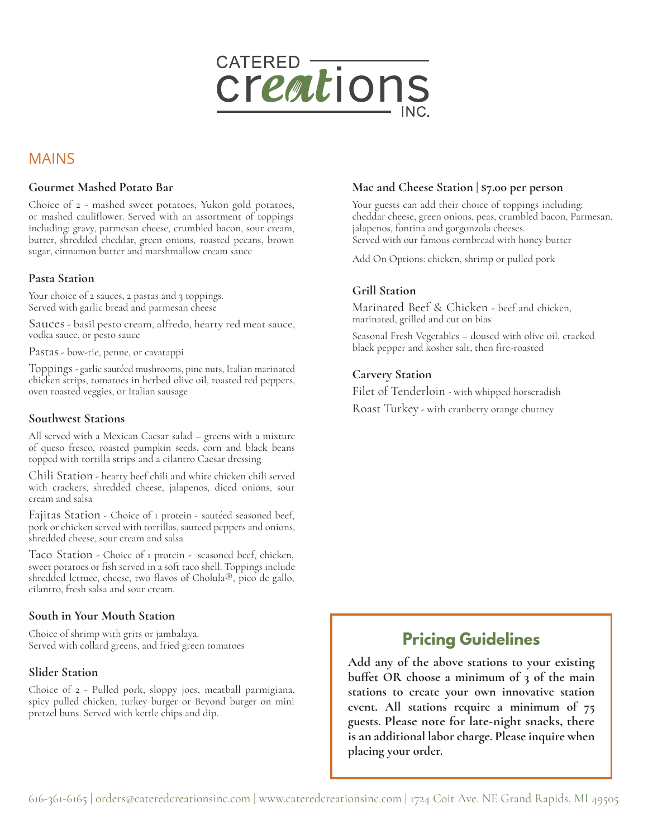

# MAINS

#### **Gourmet Mashed Potato Bar**

Choice of 2 - mashed sweet potatoes, Yukon gold potatoes, or mashed cauliflower. Served with an assortment of toppings including: gravy, parmesan cheese, crumbled bacon, sour cream, butter, shredded cheddar, green onions, roasted pecans, brown sugar, cinnamon butter and marshmallow cream sauce

#### **Pasta Station**

Your choice of 2 sauces, 2 pastas and 3 toppings. Served with garlic bread and parmesan cheese

Sauces- basil pesto cream, alfredo, hearty red meat sauce, vodka sauce, or pesto sauce

Pastas - bow-tie, penne, or cavatappi

Toppings - garlic sautéed mushrooms, pine nuts, Italian marinated chicken strips, tomatoes in herbed olive oil, roasted red peppers, oven roasted veggies, or Italian sausage

#### **Southwest Stations**

All served with a Mexican Caesar salad – greens with a mixture of queso fresco, roasted pumpkin seeds, corn and black beans topped with tortilla strips and a cilantro Caesar dressing

Chili Station - hearty beef chili and white chicken chili served with crackers, shredded cheese, jalapenos, diced onions, sour cream and salsa

Fajitas Station - Choice of 1 protein - sautéed seasoned beef, pork or chicken served with tortillas, sauteed peppers and onions, shredded cheese, sour cream and salsa

Taco Station - Choice of 1 protein - seasoned beef, chicken, sweet potatoes or fish served in a soft taco shell. Toppings include shredded lettuce, cheese, two flavos of Cholula®, pico de gallo, cilantro, fresh salsa and sour cream.

#### **South in Your Mouth Station**

Choice of shrimp with grits or jambalaya. Served with collard greens, and fried green tomatoes

#### **Slider Station**

Choice of 2 - Pulled pork, sloppy joes, meatball parmigiana, spicy pulled chicken, turkey burger or Beyond burger on mini pretzel buns. Served with kettle chips and dip.

#### **Mac and Cheese Station | \$7.00 per person**

Your guests can add their choice of toppings including: cheddar cheese, green onions, peas, crumbled bacon, Parmesan, jalapenos, fontina and gorgonzola cheeses. Served with our famous cornbread with honey butter

Add On Options: chicken, shrimp or pulled pork

# **Grill Station**

Marinated Beef & Chicken - beef and chicken, marinated, grilled and cut on bias

Seasonal Fresh Vegetables – doused with olive oil, cracked black pepper and kosher salt, then fire-roasted

#### **Carvery Station**

Filet of Tenderloin - with whipped horseradish

Roast Turkey - with cranberry orange chutney

# **Pricing Guidelines**

**Add any of the above stations to your existing buffet OR choose a minimum of 3 of the main stations to create your own innovative station event. All stations require a minimum of 75 guests. Please note for late-night snacks, there is an additional labor charge. Please inquire when placing your order.**